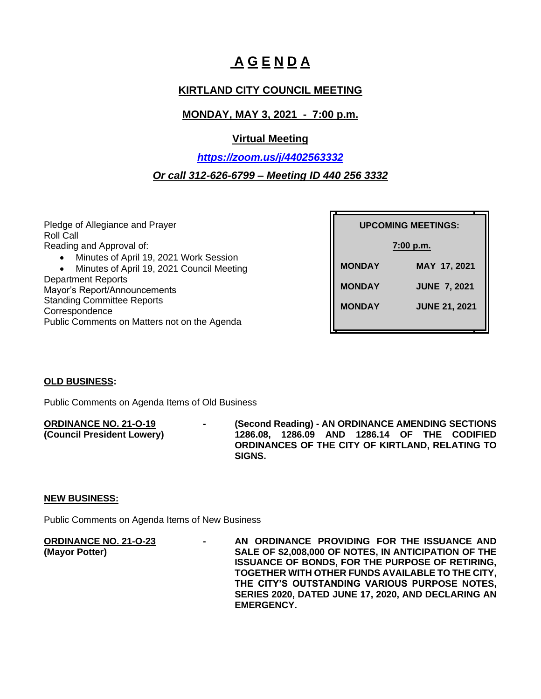# **A G E N D A**

# **KIRTLAND CITY COUNCIL MEETING**

# **MONDAY, MAY 3, 2021 - 7:00 p.m.**

### **Virtual Meeting**

# *<https://zoom.us/j/4402563332> Or call 312-626-6799 – Meeting ID 440 256 3332*

Pledge of Allegiance and Prayer Roll Call Reading and Approval of:

- Minutes of April 19, 2021 Work Session
- Minutes of April 19, 2021 Council Meeting Department Reports Mayor's Report/Announcements Standing Committee Reports **Correspondence** Public Comments on Matters not on the Agenda

| <b>UPCOMING MEETINGS:</b> |                      |
|---------------------------|----------------------|
| $7:00$ p.m.               |                      |
| <b>MONDAY</b>             | MAY 17, 2021         |
| <b>MONDAY</b>             | <b>JUNE 7, 2021</b>  |
| <b>MONDAY</b>             | <b>JUNE 21, 2021</b> |
|                           |                      |

### **OLD BUSINESS:**

Public Comments on Agenda Items of Old Business

**ORDINANCE NO. 21-O-19 - (Second Reading) - AN ORDINANCE AMENDING SECTIONS (Council President Lowery) 1286.08, 1286.09 AND 1286.14 OF THE CODIFIED ORDINANCES OF THE CITY OF KIRTLAND, RELATING TO SIGNS.**

### **NEW BUSINESS:**

Public Comments on Agenda Items of New Business

**ORDINANCE NO. 21-O-23 - AN ORDINANCE PROVIDING FOR THE ISSUANCE AND (Mayor Potter) SALE OF \$2,008,000 OF NOTES, IN ANTICIPATION OF THE ISSUANCE OF BONDS, FOR THE PURPOSE OF RETIRING, TOGETHER WITH OTHER FUNDS AVAILABLE TO THE CITY, THE CITY'S OUTSTANDING VARIOUS PURPOSE NOTES, SERIES 2020, DATED JUNE 17, 2020, AND DECLARING AN EMERGENCY.**